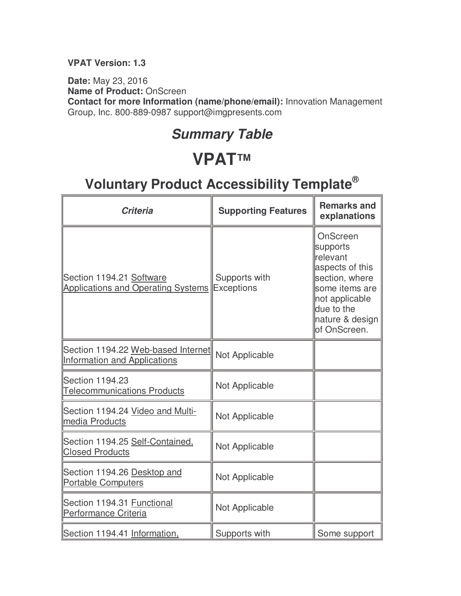#### **VPAT Version: 1.3**

**Date:** May 23, 2016 **Name of Product:** OnScreen **Contact for more Information (name/phone/email):** Innovation Management Group, Inc. 800-889-0987 support@imgpresents.com

#### **Summary Table**

### **VPAT™**

| <b>Criteria</b>                                                           | <b>Supporting Features</b>         | <b>Remarks and</b><br>explanations                                                                                                                         |
|---------------------------------------------------------------------------|------------------------------------|------------------------------------------------------------------------------------------------------------------------------------------------------------|
| Section 1194.21 Software<br><b>Applications and Operating Systems</b>     | Supports with<br><b>Exceptions</b> | OnScreen<br>supports<br>relevant<br>aspects of this<br>section, where<br>some items are<br>not applicable<br>due to the<br>nature & design<br>of OnScreen. |
| Section 1194.22 Web-based Internet<br><b>Information and Applications</b> | Not Applicable                     |                                                                                                                                                            |
| <b>Section 1194.23</b><br><b>Telecommunications Products</b>              | Not Applicable                     |                                                                                                                                                            |
| Section 1194.24 Video and Multi-<br>media Products                        | Not Applicable                     |                                                                                                                                                            |
| Section 1194.25 Self-Contained.<br><b>Closed Products</b>                 | Not Applicable                     |                                                                                                                                                            |
| Section 1194.26 Desktop and<br><b>Portable Computers</b>                  | Not Applicable                     |                                                                                                                                                            |
| Section 1194.31 Functional<br>Performance Criteria                        | Not Applicable                     |                                                                                                                                                            |
| Section 1194.41 Information,                                              | Supports with                      | Some support                                                                                                                                               |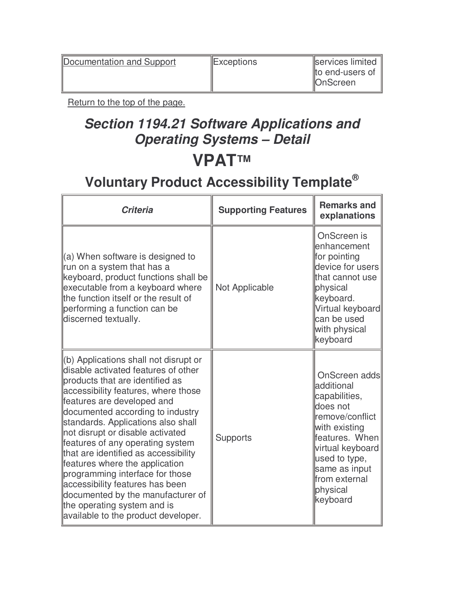Documentation and Support Exceptions Exceptions Services limited

Return to the top of the page.

### **Section 1194.21 Software Applications and Operating Systems – Detail VPAT™**

| <b>Criteria</b>                                                                                                                                                                                                                                                                                                                                                                                                                                                                                                                                                                                   | <b>Supporting Features</b> | <b>Remarks and</b><br>explanations                                                                                                                                                                             |
|---------------------------------------------------------------------------------------------------------------------------------------------------------------------------------------------------------------------------------------------------------------------------------------------------------------------------------------------------------------------------------------------------------------------------------------------------------------------------------------------------------------------------------------------------------------------------------------------------|----------------------------|----------------------------------------------------------------------------------------------------------------------------------------------------------------------------------------------------------------|
| $(a)$ When software is designed to<br>run on a system that has a<br>keyboard, product functions shall be<br>executable from a keyboard where<br>the function itself or the result of<br>performing a function can be<br>discerned textually.                                                                                                                                                                                                                                                                                                                                                      | Not Applicable             | OnScreen is<br>lenhancement<br>for pointing<br>device for users<br>that cannot use<br>physical<br>keyboard.<br>Virtual keyboard<br>can be used<br>with physical<br>keyboard                                    |
| (b) Applications shall not disrupt or<br>disable activated features of other<br>products that are identified as<br>accessibility features, where those<br>features are developed and<br>documented according to industry<br>standards. Applications also shall<br>not disrupt or disable activated<br>features of any operating system<br>that are identified as accessibility<br>features where the application<br>programming interface for those<br>accessibility features has been<br>documented by the manufacturer of<br>the operating system and is<br>available to the product developer. | <b>Supports</b>            | OnScreen adds<br>ladditional<br>capabilities,<br>does not<br>remove/conflict<br>with existing<br>features. When<br>virtual keyboard<br>used to type,<br>same as input<br>from external<br>physical<br>keyboard |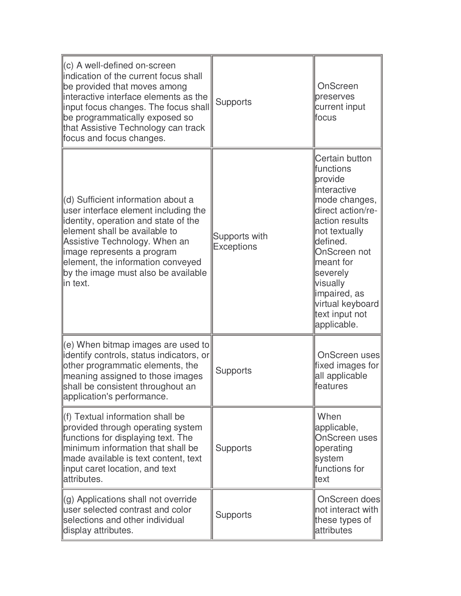| $(c)$ A well-defined on-screen<br>indication of the current focus shall<br>be provided that moves among<br>interactive interface elements as the<br>input focus changes. The focus shall<br>be programmatically exposed so<br>that Assistive Technology can track<br>focus and focus changes.               | <b>Supports</b>                    | OnScreen<br>preserves<br>current input<br>lfocus                                                                                                                                                                                                                       |
|-------------------------------------------------------------------------------------------------------------------------------------------------------------------------------------------------------------------------------------------------------------------------------------------------------------|------------------------------------|------------------------------------------------------------------------------------------------------------------------------------------------------------------------------------------------------------------------------------------------------------------------|
| (d) Sufficient information about a<br>user interface element including the<br>identity, operation and state of the<br>element shall be available to<br>Assistive Technology. When an<br>image represents a program<br>element, the information conveyed<br>by the image must also be available<br>lin text. | Supports with<br><b>Exceptions</b> | Certain button<br>lfunctions<br>provide<br>linteractive<br>mode changes,<br>direct action/re-<br>action results<br>not textually<br>defined.<br>OnScreen not<br>meant for<br>severely<br>visually<br>impaired, as<br>virtual keyboard<br>text input not<br>applicable. |
| (e) When bitmap images are used to<br>identify controls, status indicators, or<br>other programmatic elements, the<br>meaning assigned to those images<br>shall be consistent throughout an<br>application's performance.                                                                                   | <b>Supports</b>                    | OnScreen uses<br>fixed images for<br>all applicable<br>lfeatures                                                                                                                                                                                                       |
| (f) Textual information shall be<br>provided through operating system<br>functions for displaying text. The<br>minimum information that shall be<br>made available is text content, text<br>input caret location, and text<br>attributes.                                                                   | <b>Supports</b>                    | When<br>applicable,<br><b>OnScreen uses</b><br>operating<br>system<br>functions for<br>ltext                                                                                                                                                                           |
| (g) Applications shall not override<br>user selected contrast and color<br>selections and other individual<br>display attributes.                                                                                                                                                                           | <b>Supports</b>                    | OnScreen does<br>not interact with<br>these types of<br>attributes                                                                                                                                                                                                     |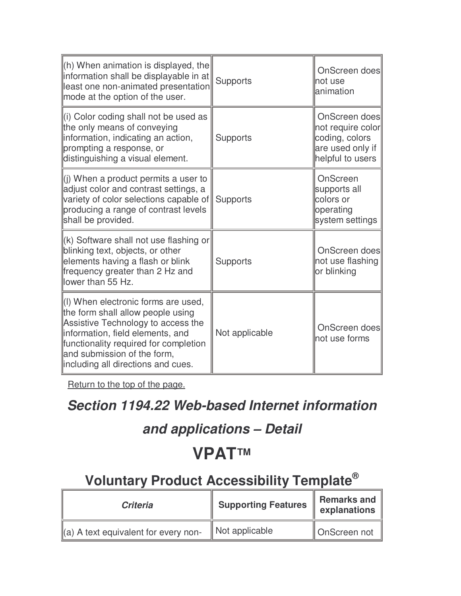| $\ $ (h) When animation is displayed, the<br>information shall be displayable in at<br>least one non-animated presentation<br>mode at the option of the user.                                                                                                     | <b>Supports</b> | OnScreen does<br>not use<br>lanimation                                                       |
|-------------------------------------------------------------------------------------------------------------------------------------------------------------------------------------------------------------------------------------------------------------------|-----------------|----------------------------------------------------------------------------------------------|
| (i) Color coding shall not be used as<br>the only means of conveying<br>information, indicating an action,<br>prompting a response, or<br>distinguishing a visual element.                                                                                        | <b>Supports</b> | OnScreen does<br>not require color<br>coding, colors<br>are used only if<br>helpful to users |
| $\parallel$ (j) When a product permits a user to<br>adjust color and contrast settings, a<br>variety of color selections capable of<br>producing a range of contrast levels<br>shall be provided.                                                                 | <b>Supports</b> | OnScreen<br>supports all<br>colors or<br>operating<br>system settings                        |
| K) Software shall not use flashing or<br>blinking text, objects, or other<br>elements having a flash or blink<br>frequency greater than 2 Hz and<br>llower than 55 Hz.                                                                                            | <b>Supports</b> | OnScreen does<br>not use flashing<br>or blinking                                             |
| (I) When electronic forms are used,<br>the form shall allow people using<br>Assistive Technology to access the<br>information, field elements, and<br>functionality required for completion<br>and submission of the form,<br>lincluding all directions and cues. | Not applicable  | OnScreen does<br>not use forms                                                               |

#### **Section 1194.22 Web-based Internet information**

#### **and applications – Detail**

### **VPAT™**

| <b>Criteria</b>                                  | <b>Supporting Features</b> | Remarks and<br>explanations |
|--------------------------------------------------|----------------------------|-----------------------------|
| $\parallel$ (a) A text equivalent for every non- | Not applicable             | OnScreen not                |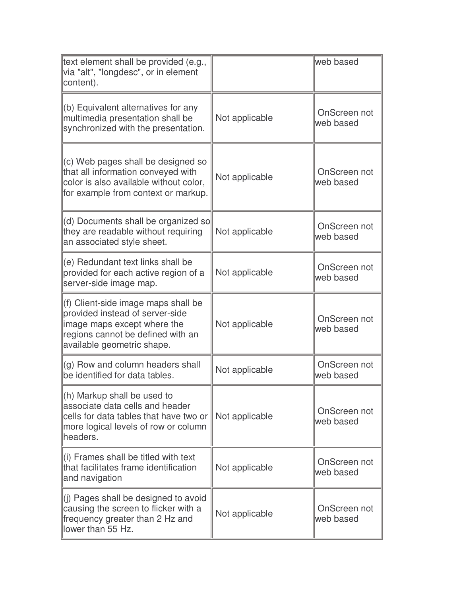| text element shall be provided (e.g.,<br>via "alt", "longdesc", or in element<br>content).                                                                               |                | web based                 |
|--------------------------------------------------------------------------------------------------------------------------------------------------------------------------|----------------|---------------------------|
| (b) Equivalent alternatives for any<br>multimedia presentation shall be<br>synchronized with the presentation.                                                           | Not applicable | OnScreen not<br>web based |
| (c) Web pages shall be designed so<br>that all information conveyed with<br>color is also available without color,<br>for example from context or markup.                | Not applicable | OnScreen not<br>web based |
| (d) Documents shall be organized so<br>they are readable without requiring<br>an associated style sheet.                                                                 | Not applicable | OnScreen not<br>web based |
| (e) Redundant text links shall be<br>provided for each active region of a<br>server-side image map.                                                                      | Not applicable | OnScreen not<br>web based |
| (f) Client-side image maps shall be<br>provided instead of server-side<br>image maps except where the<br>regions cannot be defined with an<br>available geometric shape. | Not applicable | OnScreen not<br>web based |
| (g) Row and column headers shall<br>be identified for data tables.                                                                                                       | Not applicable | OnScreen not<br>web based |
| (h) Markup shall be used to<br>associate data cells and header<br>cells for data tables that have two or<br>more logical levels of row or column<br>headers.             | Not applicable | OnScreen not<br>web based |
| (i) Frames shall be titled with text<br>that facilitates frame identification<br>and navigation                                                                          | Not applicable | OnScreen not<br>web based |
| (i) Pages shall be designed to avoid<br>causing the screen to flicker with a<br>frequency greater than 2 Hz and<br>lower than 55 Hz.                                     | Not applicable | OnScreen not<br>web based |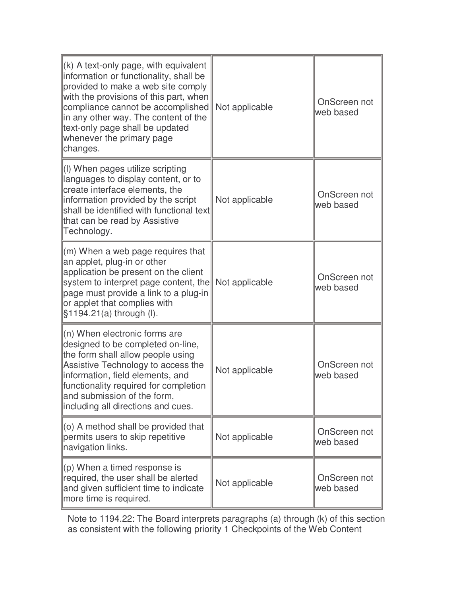| (k) A text-only page, with equivalent<br>information or functionality, shall be<br>provided to make a web site comply<br>with the provisions of this part, when<br>compliance cannot be accomplished<br>in any other way. The content of the<br>text-only page shall be updated<br>whenever the primary page<br>changes. | Not applicable | OnScreen not<br>web based |
|--------------------------------------------------------------------------------------------------------------------------------------------------------------------------------------------------------------------------------------------------------------------------------------------------------------------------|----------------|---------------------------|
| (I) When pages utilize scripting<br>languages to display content, or to<br>create interface elements, the<br>information provided by the script<br>shall be identified with functional text<br>that can be read by Assistive<br>Technology.                                                                              | Not applicable | OnScreen not<br>web based |
| (m) When a web page requires that<br>an applet, plug-in or other<br>application be present on the client<br>system to interpret page content, the<br>page must provide a link to a plug-in<br>or applet that complies with<br>§1194.21(a) through (I).                                                                   | Not applicable | OnScreen not<br>web based |
| $(n)$ When electronic forms are<br>designed to be completed on-line,<br>the form shall allow people using<br>Assistive Technology to access the<br>information, field elements, and<br>functionality required for completion<br>and submission of the form,<br>including all directions and cues.                        | Not applicable | OnScreen not<br>web based |
| $(0)$ A method shall be provided that<br>permits users to skip repetitive<br>navigation links.                                                                                                                                                                                                                           | Not applicable | OnScreen not<br>web based |
| $(p)$ When a timed response is<br>required, the user shall be alerted<br>and given sufficient time to indicate<br>more time is required.                                                                                                                                                                                 | Not applicable | OnScreen not<br>web based |

Note to 1194.22: The Board interprets paragraphs (a) through (k) of this section as consistent with the following priority 1 Checkpoints of the Web Content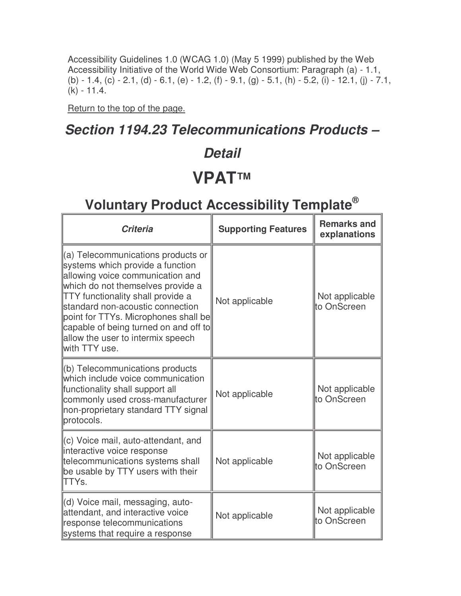Accessibility Guidelines 1.0 (WCAG 1.0) (May 5 1999) published by the Web Accessibility Initiative of the World Wide Web Consortium: Paragraph (a) - 1.1, (b) - 1.4, (c) - 2.1, (d) - 6.1, (e) - 1.2, (f) - 9.1, (g) - 5.1, (h) - 5.2, (i) - 12.1, (j) - 7.1, (k) - 11.4.

Return to the top of the page.

#### **Section 1194.23 Telecommunications Products –**

#### **Detail**

### **VPAT™**

| <b>Criteria</b>                                                                                                                                                                                                                                                                                                                                                             | <b>Supporting Features</b> | <b>Remarks and</b><br>explanations |
|-----------------------------------------------------------------------------------------------------------------------------------------------------------------------------------------------------------------------------------------------------------------------------------------------------------------------------------------------------------------------------|----------------------------|------------------------------------|
| $\parallel$ (a) Telecommunications products or<br>systems which provide a function<br>allowing voice communication and<br>which do not themselves provide a<br>TTY functionality shall provide a<br>standard non-acoustic connection<br>point for TTYs. Microphones shall be<br>capable of being turned on and off to<br>allow the user to intermix speech<br>with TTY use. | Not applicable             | Not applicable<br>to OnScreen      |
| (b) Telecommunications products<br>which include voice communication<br>functionality shall support all<br>commonly used cross-manufacturer<br>non-proprietary standard TTY signal<br>protocols.                                                                                                                                                                            | Not applicable             | Not applicable<br>lto OnScreen     |
| c) Voice mail, auto-attendant, and<br>interactive voice response<br>telecommunications systems shall<br>be usable by TTY users with their<br><b>TTYs.</b>                                                                                                                                                                                                                   | Not applicable             | Not applicable<br>lto OnScreen     |
| (d) Voice mail, messaging, auto-<br>attendant, and interactive voice<br>response telecommunications<br>systems that require a response                                                                                                                                                                                                                                      | Not applicable             | Not applicable<br>to OnScreen      |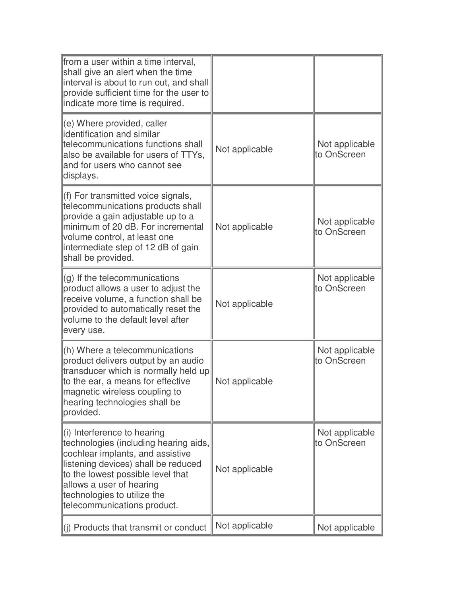| from a user within a time interval,<br>shall give an alert when the time<br>interval is about to run out, and shall<br>provide sufficient time for the user to<br>indicate more time is required.                                                                                          |                |                               |
|--------------------------------------------------------------------------------------------------------------------------------------------------------------------------------------------------------------------------------------------------------------------------------------------|----------------|-------------------------------|
| $\parallel$ (e) Where provided, caller<br>lidentification and similar<br>telecommunications functions shall<br>also be available for users of TTYs,<br>and for users who cannot see<br>displays.                                                                                           | Not applicable | Not applicable<br>to OnScreen |
| (f) For transmitted voice signals,<br>telecommunications products shall<br>provide a gain adjustable up to a<br>minimum of 20 dB. For incremental<br>volume control, at least one<br>intermediate step of 12 dB of gain<br>shall be provided.                                              | Not applicable | Not applicable<br>to OnScreen |
| $(q)$ If the telecommunications<br>product allows a user to adjust the<br>receive volume, a function shall be<br>provided to automatically reset the<br>volume to the default level after<br>every use.                                                                                    | Not applicable | Not applicable<br>to OnScreen |
| $\ $ (h) Where a telecommunications<br>product delivers output by an audio<br>transducer which is normally held up<br>to the ear, a means for effective<br>magnetic wireless coupling to<br>hearing technologies shall be<br>provided.                                                     | Not applicable | Not applicable<br>to OnScreen |
| $\parallel$ (i) Interference to hearing<br>technologies (including hearing aids,<br>cochlear implants, and assistive<br>listening devices) shall be reduced<br>to the lowest possible level that<br>allows a user of hearing<br>technologies to utilize the<br>telecommunications product. | Not applicable | Not applicable<br>to OnScreen |
| (i) Products that transmit or conduct                                                                                                                                                                                                                                                      | Not applicable | Not applicable                |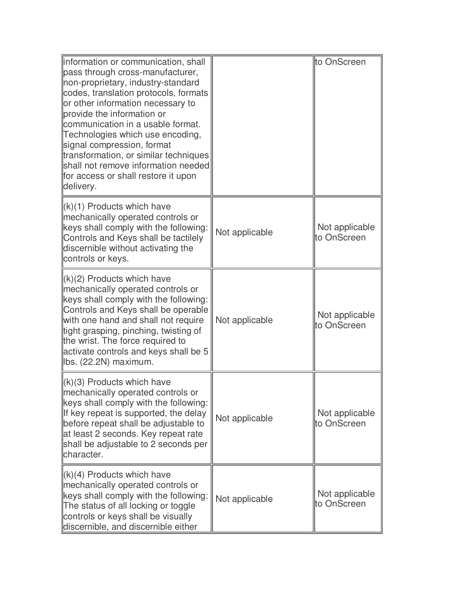| information or communication, shall<br>pass through cross-manufacturer,<br>non-proprietary, industry-standard<br>codes, translation protocols, formats<br>or other information necessary to<br>provide the information or<br>communication in a usable format.<br>Technologies which use encoding,<br>signal compression, format<br>transformation, or similar techniques<br>shall not remove information needed<br>for access or shall restore it upon<br>delivery. |                | to OnScreen                   |
|----------------------------------------------------------------------------------------------------------------------------------------------------------------------------------------------------------------------------------------------------------------------------------------------------------------------------------------------------------------------------------------------------------------------------------------------------------------------|----------------|-------------------------------|
| $(k)(1)$ Products which have<br>mechanically operated controls or<br>keys shall comply with the following:<br>Controls and Keys shall be tactilely<br>discernible without activating the<br>controls or keys.                                                                                                                                                                                                                                                        | Not applicable | Not applicable<br>to OnScreen |
| $(k)(2)$ Products which have<br>mechanically operated controls or<br>keys shall comply with the following:<br>Controls and Keys shall be operable<br>with one hand and shall not require<br>tight grasping, pinching, twisting of<br>the wrist. The force required to<br>activate controls and keys shall be 5<br>lbs. (22.2N) maximum.                                                                                                                              | Not applicable | Not applicable<br>to OnScreen |
| $\langle k \rangle$ (3) Products which have<br>mechanically operated controls or<br>keys shall comply with the following:<br>If key repeat is supported, the delay<br>before repeat shall be adjustable to<br>at least 2 seconds. Key repeat rate<br>shall be adjustable to 2 seconds per<br>character.                                                                                                                                                              | Not applicable | Not applicable<br>to OnScreen |
| $(k)(4)$ Products which have<br>mechanically operated controls or<br>keys shall comply with the following:<br>The status of all locking or toggle<br>controls or keys shall be visually<br>discernible, and discernible either                                                                                                                                                                                                                                       | Not applicable | Not applicable<br>to OnScreen |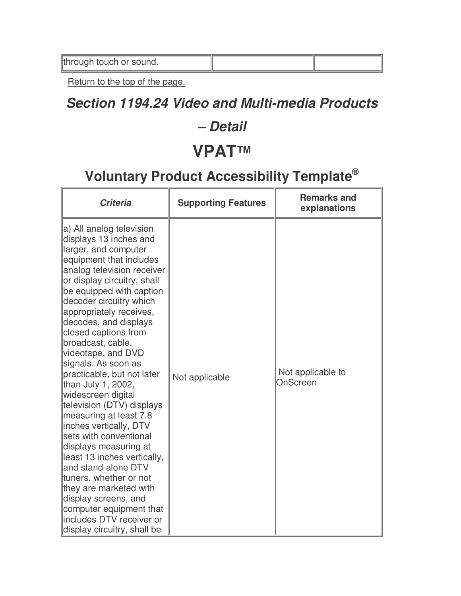#### **Section 1194.24 Video and Multi-media Products**

#### **– Detail**

### **VPAT™**

| <b>Criteria</b>                                                                                                                                                                                                                                                                                                                                                                                                                                                                                                                                                                                                                                                                                                                                                                                               | <b>Supporting Features</b> | <b>Remarks and</b><br>explanations |
|---------------------------------------------------------------------------------------------------------------------------------------------------------------------------------------------------------------------------------------------------------------------------------------------------------------------------------------------------------------------------------------------------------------------------------------------------------------------------------------------------------------------------------------------------------------------------------------------------------------------------------------------------------------------------------------------------------------------------------------------------------------------------------------------------------------|----------------------------|------------------------------------|
| a) All analog television<br>displays 13 inches and<br>larger, and computer<br>equipment that includes<br>analog television receiver<br>or display circuitry, shall<br>be equipped with caption<br>decoder circuitry which<br>appropriately receives,<br>decodes, and displays<br>closed captions from<br>broadcast, cable,<br>videotape, and DVD<br>signals. As soon as<br>practicable, but not later<br>than July 1, 2002,<br>widescreen digital<br>television (DTV) displays<br>measuring at least 7.8<br>inches vertically, DTV<br>sets with conventional<br>displays measuring at<br>least 13 inches vertically,<br>and stand-alone DTV<br>tuners, whether or not<br>they are marketed with<br>display screens, and<br>computer equipment that<br>includes DTV receiver or<br>display circuitry, shall be | Not applicable             | Not applicable to<br>OnScreen      |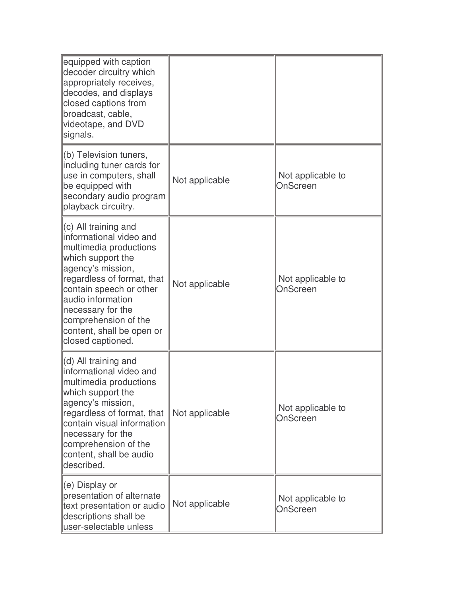| equipped with caption<br>decoder circuitry which<br>appropriately receives,<br>decodes, and displays<br>closed captions from<br>broadcast, cable,<br>videotape, and DVD<br>signals.                                                                                                                |                |                               |
|----------------------------------------------------------------------------------------------------------------------------------------------------------------------------------------------------------------------------------------------------------------------------------------------------|----------------|-------------------------------|
| (b) Television tuners,<br>including tuner cards for<br>use in computers, shall<br>be equipped with<br>secondary audio program<br>playback circuitry.                                                                                                                                               | Not applicable | Not applicable to<br>OnScreen |
| $(c)$ All training and<br>informational video and<br>multimedia productions<br>which support the<br>agency's mission,<br>regardless of format, that<br>contain speech or other<br>audio information<br>necessary for the<br>comprehension of the<br>content, shall be open or<br>closed captioned. | Not applicable | Not applicable to<br>OnScreen |
| (d) All training and<br>informational video and<br>multimedia productions<br>which support the<br>agency's mission,<br>regardless of format, that<br>contain visual information<br>necessary for the<br>comprehension of the<br>content, shall be audio<br>described.                              | Not applicable | Not applicable to<br>OnScreen |
| (e) Display or<br>presentation of alternate<br>text presentation or audio<br>descriptions shall be<br>user-selectable unless                                                                                                                                                                       | Not applicable | Not applicable to<br>OnScreen |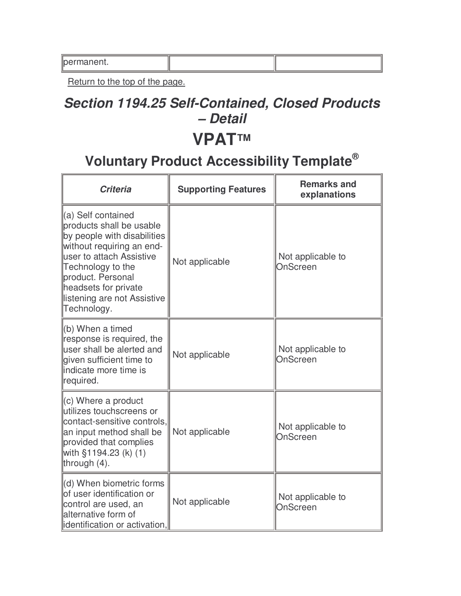| ∥permanent. |  |
|-------------|--|
|-------------|--|

### **Section 1194.25 Self-Contained, Closed Products – Detail**

#### **VPAT™**

| <b>Criteria</b>                                                                                                                                                                                                                                        | <b>Supporting Features</b> | <b>Remarks and</b><br>explanations |
|--------------------------------------------------------------------------------------------------------------------------------------------------------------------------------------------------------------------------------------------------------|----------------------------|------------------------------------|
| (a) Self contained<br>products shall be usable<br>by people with disabilities<br>without requiring an end-<br>user to attach Assistive<br>Technology to the<br>product. Personal<br>headsets for private<br>listening are not Assistive<br>Technology. | Not applicable             | Not applicable to<br>OnScreen      |
| (b) When a timed<br>response is required, the<br>user shall be alerted and<br>given sufficient time to<br>indicate more time is<br>required.                                                                                                           | Not applicable             | Not applicable to<br>OnScreen      |
| $\parallel$ (c) Where a product<br>utilizes touchscreens or<br>contact-sensitive controls,<br>an input method shall be<br>provided that complies<br>with §1194.23 (k) (1)<br>through $(4)$ .                                                           | Not applicable             | Not applicable to<br>OnScreen      |
| (d) When biometric forms<br>of user identification or<br>control are used, an<br>alternative form of<br>identification or activation,                                                                                                                  | Not applicable             | Not applicable to<br>OnScreen      |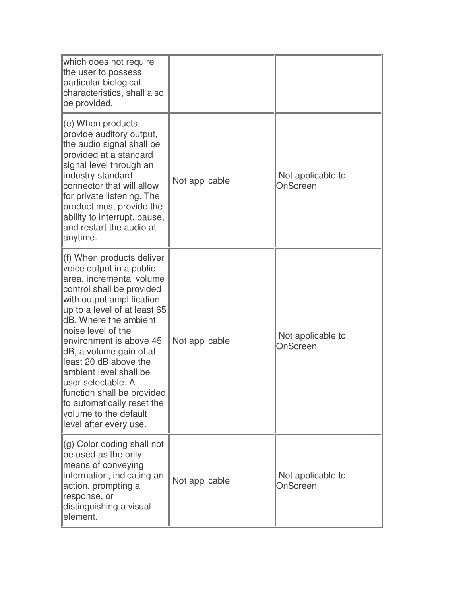| which does not require<br>the user to possess<br>particular biological<br>characteristics, shall also<br>be provided.                                                                                                                                                                                                                                                                                                                                                                |                |                               |
|--------------------------------------------------------------------------------------------------------------------------------------------------------------------------------------------------------------------------------------------------------------------------------------------------------------------------------------------------------------------------------------------------------------------------------------------------------------------------------------|----------------|-------------------------------|
| $\parallel$ (e) When products<br>provide auditory output,<br>the audio signal shall be<br>provided at a standard<br>signal level through an<br>industry standard<br>connector that will allow<br>for private listening. The<br>product must provide the<br>ability to interrupt, pause,<br>and restart the audio at<br>anytime.                                                                                                                                                      | Not applicable | Not applicable to<br>OnScreen |
| f) When products deliver<br>voice output in a public<br>area, incremental volume<br>control shall be provided<br>with output amplification<br>$\mu$ p to a level of at least 65<br><b>dB.</b> Where the ambient<br>noise level of the<br>environment is above 45<br>dB, a volume gain of at<br>least 20 dB above the<br>ambient level shall be<br>luser selectable. A<br>function shall be provided<br>to automatically reset the<br>volume to the default<br>level after every use. | Not applicable | Not applicable to<br>OnScreen |
| $\parallel$ (g) Color coding shall not<br>be used as the only<br>means of conveying<br>information, indicating an<br>action, prompting a<br>response, or<br>distinguishing a visual<br>element.                                                                                                                                                                                                                                                                                      | Not applicable | Not applicable to<br>OnScreen |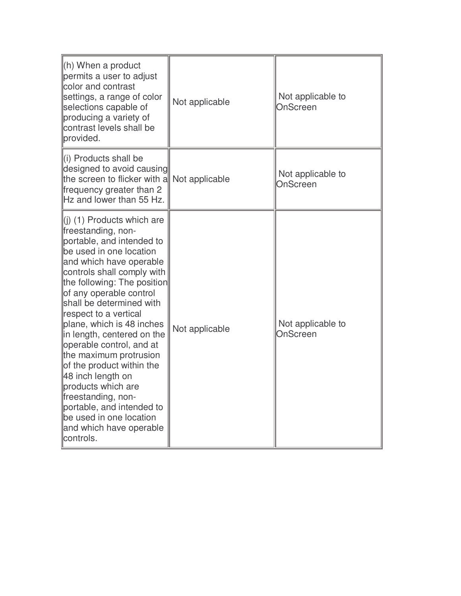| $(h)$ When a product<br>permits a user to adjust<br>color and contrast<br>settings, a range of color<br>selections capable of<br>producing a variety of<br>contrast levels shall be<br>provided.                                                                                                                                                                                                                                                                                                                                                                                                | Not applicable | Not applicable to<br>OnScreen |
|-------------------------------------------------------------------------------------------------------------------------------------------------------------------------------------------------------------------------------------------------------------------------------------------------------------------------------------------------------------------------------------------------------------------------------------------------------------------------------------------------------------------------------------------------------------------------------------------------|----------------|-------------------------------|
| $\left\  \right\ $ Products shall be<br>designed to avoid causing<br>the screen to flicker with a Not applicable<br>frequency greater than 2<br>Hz and lower than 55 Hz.                                                                                                                                                                                                                                                                                                                                                                                                                        |                | Not applicable to<br>OnScreen |
| (i) (1) Products which are<br>freestanding, non-<br>portable, and intended to<br>be used in one location<br>and which have operable<br>controls shall comply with<br>the following: The position<br>of any operable control<br>shall be determined with<br>respect to a vertical<br>plane, which is 48 inches<br>in length, centered on the<br>operable control, and at<br>the maximum protrusion<br>of the product within the<br>48 inch length on<br>products which are<br>freestanding, non-<br>portable, and intended to<br>be used in one location<br>and which have operable<br>controls. | Not applicable | Not applicable to<br>OnScreen |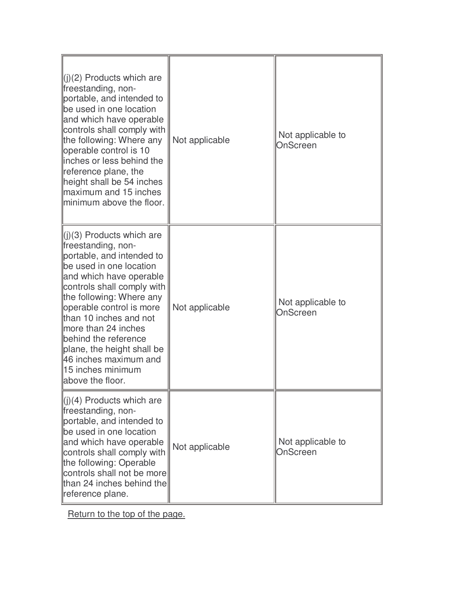| $\ $ (i)(2) Products which are<br>freestanding, non-<br>portable, and intended to<br>be used in one location<br>and which have operable<br>controls shall comply with<br>the following: Where any<br>operable control is 10<br>llinches or less behind the<br>reference plane, the<br>height shall be 54 inches<br>llmaximum and 15 inches<br>minimum above the floor.                                   | Not applicable | Not applicable to<br>OnScreen |
|----------------------------------------------------------------------------------------------------------------------------------------------------------------------------------------------------------------------------------------------------------------------------------------------------------------------------------------------------------------------------------------------------------|----------------|-------------------------------|
| $\ $ (j)(3) Products which are<br>freestanding, non-<br>portable, and intended to<br>be used in one location<br>and which have operable<br>controls shall comply with<br>the following: Where any<br>operable control is more<br>than 10 inches and not<br>llmore than 24 inches<br>behind the reference<br>plane, the height shall be<br>46 inches maximum and<br>15 inches minimum<br>above the floor. | Not applicable | Not applicable to<br>OnScreen |
| $\ $ (j)(4) Products which are<br>freestanding, non-<br>portable, and intended to<br>be used in one location<br>and which have operable<br>controls shall comply with<br>the following: Operable<br>controls shall not be more<br>than 24 inches behind the<br>reference plane.                                                                                                                          | Not applicable | Not applicable to<br>OnScreen |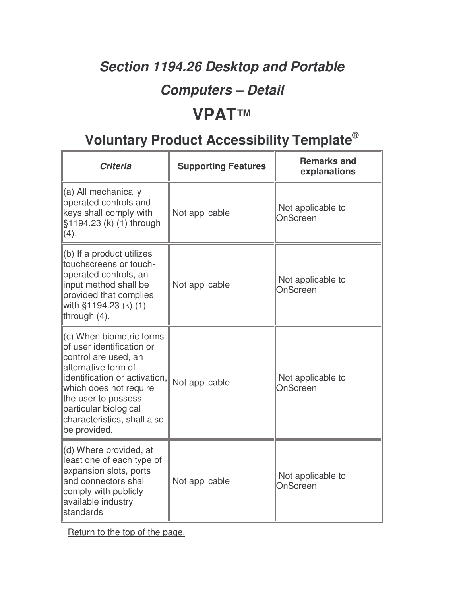### **Section 1194.26 Desktop and Portable**

#### **Computers – Detail**

### **VPAT™**

### **Voluntary Product Accessibility Template®**

| <b>Criteria</b>                                                                                                                                                                                                                                                                | <b>Supporting Features</b> | <b>Remarks and</b><br>explanations |
|--------------------------------------------------------------------------------------------------------------------------------------------------------------------------------------------------------------------------------------------------------------------------------|----------------------------|------------------------------------|
| ∥(a) All mechanically<br>operated controls and<br>keys shall comply with<br>§1194.23 (k) (1) through<br>(4).                                                                                                                                                                   | Not applicable             | Not applicable to<br>OnScreen      |
| $\ $ (b) If a product utilizes<br>touchscreens or touch-<br>operated controls, an<br>input method shall be<br>provided that complies<br>with §1194.23 (k) (1)<br>through (4).                                                                                                  | Not applicable             | Not applicable to<br>OnScreen      |
| $\parallel$ (c) When biometric forms<br>lof user identification or<br>control are used, an<br>llalternative form of<br>lidentification or activation,<br>which does not require<br>the user to possess<br>particular biological<br>characteristics, shall also<br>be provided. | Not applicable             | Not applicable to<br>OnScreen      |
| $\parallel$ (d) Where provided, at<br>least one of each type of<br>expansion slots, ports<br>and connectors shall<br>comply with publicly<br>available industry<br><b>standards</b>                                                                                            | Not applicable             | Not applicable to<br>OnScreen      |

Return to the top of the page.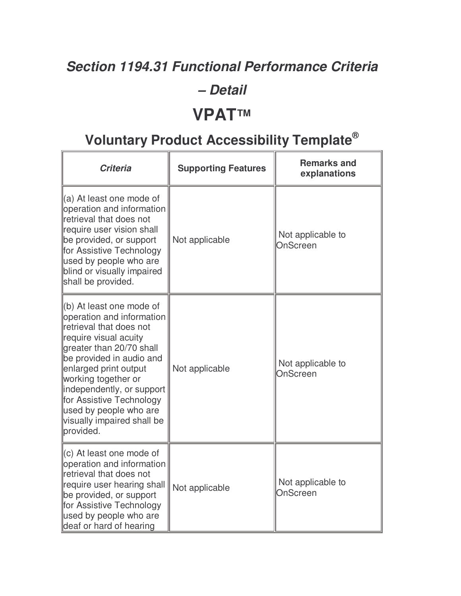#### **Section 1194.31 Functional Performance Criteria**

#### **– Detail**

#### **VPAT™**

| <b>Criteria</b>                                                                                                                                                                                                                                                                                                                                 | <b>Supporting Features</b> | <b>Remarks and</b><br>explanations |
|-------------------------------------------------------------------------------------------------------------------------------------------------------------------------------------------------------------------------------------------------------------------------------------------------------------------------------------------------|----------------------------|------------------------------------|
| (a) At least one mode of<br>operation and information<br>retrieval that does not<br>require user vision shall<br>be provided, or support<br>for Assistive Technology<br>used by people who are<br>blind or visually impaired<br>shall be provided.                                                                                              | Not applicable             | Not applicable to<br>OnScreen      |
| (b) At least one mode of<br>operation and information<br>retrieval that does not<br>require visual acuity<br>greater than 20/70 shall<br>be provided in audio and<br>enlarged print output<br>working together or<br>independently, or support<br>for Assistive Technology<br>used by people who are<br>visually impaired shall be<br>provided. | Not applicable             | Not applicable to<br>OnScreen      |
| (c) At least one mode of<br>operation and information<br>retrieval that does not<br>require user hearing shall<br>be provided, or support<br>for Assistive Technology<br>used by people who are<br>deaf or hard of hearing                                                                                                                      | Not applicable             | Not applicable to<br>OnScreen      |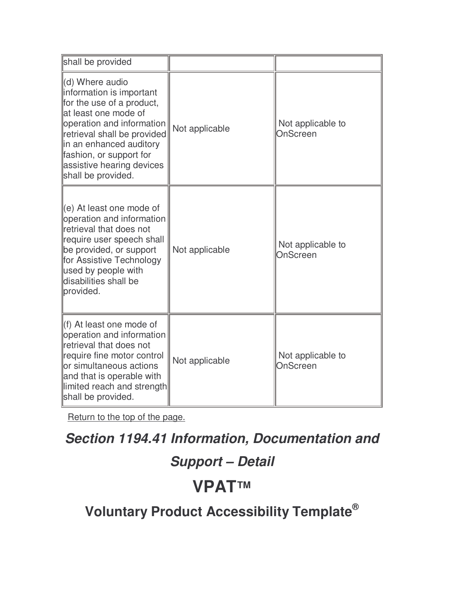| shall be provided                                                                                                                                                                                                                                                     |                |                               |
|-----------------------------------------------------------------------------------------------------------------------------------------------------------------------------------------------------------------------------------------------------------------------|----------------|-------------------------------|
| (d) Where audio<br>information is important<br>for the use of a product,<br>at least one mode of<br>operation and information<br>retrieval shall be provided<br>in an enhanced auditory<br>fashion, or support for<br>assistive hearing devices<br>shall be provided. | Not applicable | Not applicable to<br>OnScreen |
| (e) At least one mode of<br>operation and information<br>retrieval that does not<br>require user speech shall<br>be provided, or support<br>for Assistive Technology<br>used by people with<br>disabilities shall be<br>provided.                                     | Not applicable | Not applicable to<br>OnScreen |
| (f) At least one mode of<br>operation and information<br>retrieval that does not<br>require fine motor control<br>or simultaneous actions<br>and that is operable with<br>limited reach and strength<br>shall be provided.                                            | Not applicable | Not applicable to<br>OnScreen |

#### **Section 1194.41 Information, Documentation and**

### **Support – Detail**

### **VPAT™**